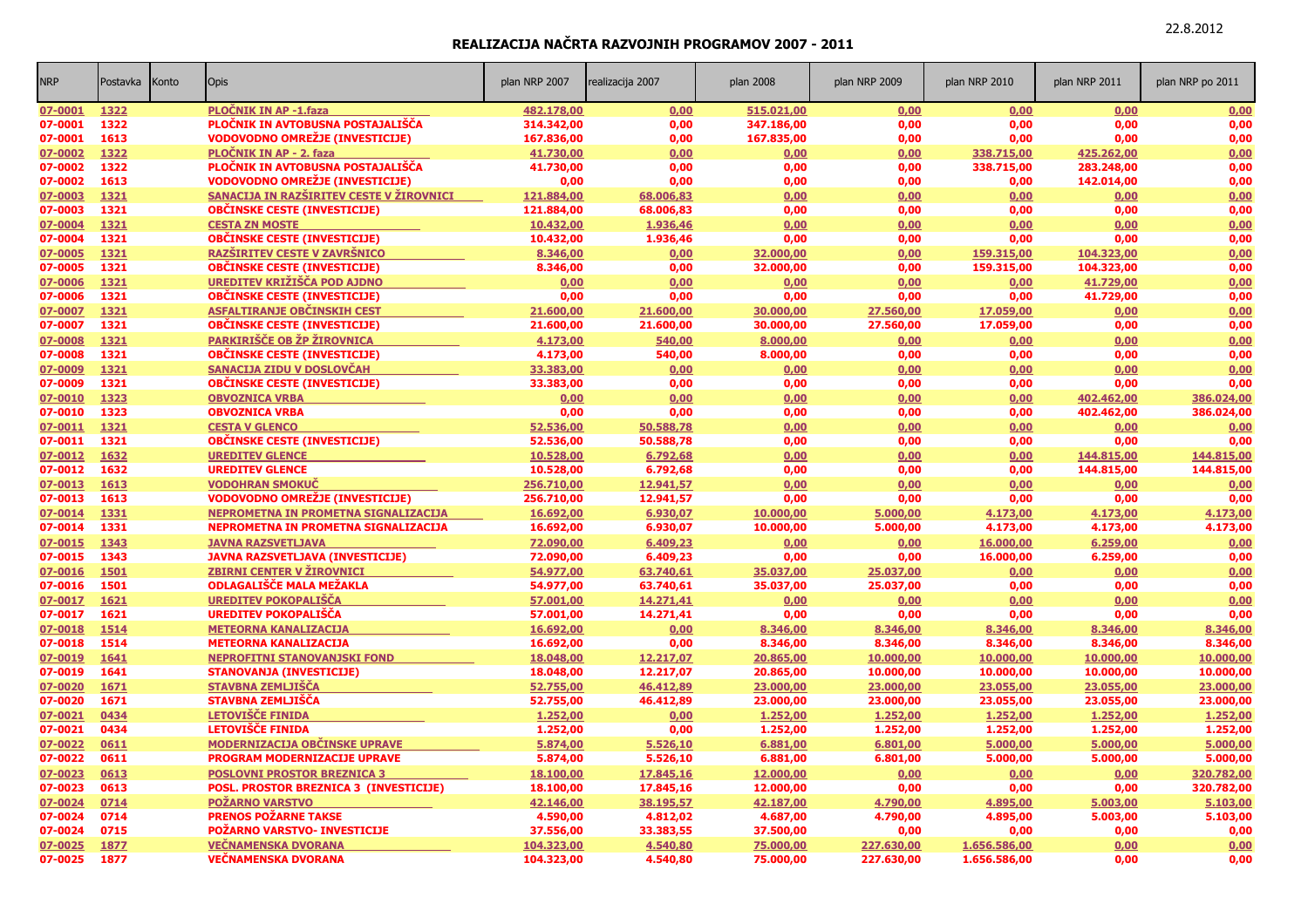| <b>NRP</b> | Postavka | Konto | <b>Opis</b>                              | plan NRP 2007 | realizacija 2007 | plan 2008  | plan NRP 2009 | plan NRP 2010 | plan NRP 2011 | plan NRP po 2011 |
|------------|----------|-------|------------------------------------------|---------------|------------------|------------|---------------|---------------|---------------|------------------|
| 07-0001    | 1322     |       | <b>PLOCNIK IN AP -1.faza</b>             | 482.178,00    | 0,00             | 515.021,00 | 0,00          | 0,00          | 0,00          | 0,00             |
| 07-0001    | 1322     |       | PLOČNIK IN AVTOBUSNA POSTAJALIŠČA        | 314.342,00    | 0,00             | 347.186,00 | 0,00          | 0.00          | 0,00          | 0,00             |
| 07-0001    | 1613     |       | <b>VODOVODNO OMREŽJE (INVESTICIJE)</b>   | 167.836,00    | 0,00             | 167.835,00 | 0,00          | 0,00          | 0,00          | 0,00             |
| 07-0002    | 1322     |       | PLOČNIK IN AP - 2. faza                  | 41.730,00     | 0,00             | 0,00       | 0,00          | 338.715,00    | 425.262,00    | 0,00             |
| 07-0002    | 1322     |       | PLOČNIK IN AVTOBUSNA POSTAJALIŠČA        | 41.730,00     | 0.00             | 0,00       | 0.00          | 338.715.00    | 283.248.00    | 0,00             |
| 07-0002    | 1613     |       | <b>VODOVODNO OMREŽJE (INVESTICIJE)</b>   | 0,00          | 0,00             | 0,00       | 0,00          | 0,00          | 142.014,00    | 0,00             |
| 07-0003    | 1321     |       | SANACIJA IN RAZŠIRITEV CESTE V ŽIROVNICI | 121.884,00    | 68.006,83        | 0,00       | 0,00          | 0,00          | 0,00          | 0,00             |
| 07-0003    | 1321     |       | <b>OBČINSKE CESTE (INVESTICIJE)</b>      | 121.884,00    | 68.006,83        | 0,00       | 0,00          | 0,00          | 0,00          | 0,00             |
| 07-0004    | 1321     |       | <b>CESTA ZN MOSTE</b>                    | 10.432,00     | 1.936,46         | 0,00       | 0,00          | 0,00          | 0,00          | 0,00             |
| 07-0004    | 1321     |       | <b>OBČINSKE CESTE (INVESTICIJE)</b>      | 10.432,00     | 1.936,46         | 0,00       | 0,00          | 0,00          | 0,00          | 0,00             |
| 07-0005    | 1321     |       | RAZŠIRITEV CESTE V ZAVRŠNICO             | 8.346,00      | 0,00             | 32.000,00  | 0,00          | 159.315,00    | 104.323,00    | 0,00             |
| 07-0005    | 1321     |       | <b>OBČINSKE CESTE (INVESTICIJE)</b>      | 8.346,00      | 0,00             | 32.000,00  | 0,00          | 159.315,00    | 104.323,00    | 0,00             |
| 07-0006    | 1321     |       | UREDITEV KRIŽIŠČA POD AJDNO              | 0,00          | 0,00             | 0,00       | 0,00          | 0,00          | 41.729,00     | 0,00             |
| 07-0006    | 1321     |       | <b>OBČINSKE CESTE (INVESTICIJE)</b>      | 0,00          | 0,00             | 0,00       | 0,00          | 0,00          | 41.729,00     | 0,00             |
| 07-0007    | 1321     |       | ASFALTIRANJE OBČINSKIH CEST              | 21.600,00     | 21.600,00        | 30.000,00  | 27.560,00     | 17.059,00     | 0,00          | 0,00             |
| 07-0007    | 1321     |       | <b>OBČINSKE CESTE (INVESTICIJE)</b>      | 21.600,00     | 21.600,00        | 30.000,00  | 27.560,00     | 17.059,00     | 0,00          | 0,00             |
| 07-0008    | 1321     |       | PARKIRIŠČE OB ŽP ŽIROVNICA               | 4.173,00      | 540,00           | 8.000,00   | 0,00          | 0,00          | 0,00          | 0,00             |
| 07-0008    | 1321     |       | <b>OBČINSKE CESTE (INVESTICIJE)</b>      | 4.173,00      | 540,00           | 8.000,00   | 0,00          | 0,00          | 0,00          | 0,00             |
| 07-0009    | 1321     |       | SANACIJA ZIDU V DOSLOVČAH                | 33.383,00     | 0,00             | 0,00       | 0,00          | 0,00          | 0,00          | 0,00             |
| 07-0009    | 1321     |       | <b>OBČINSKE CESTE (INVESTICIJE)</b>      | 33.383,00     | 0,00             | 0,00       | 0,00          | 0,00          | 0,00          | 0,00             |
| 07-0010    | 1323     |       | <b>OBVOZNICA VRBA</b>                    | 0,00          | 0,00             | 0,00       | 0,00          | 0,00          | 402.462.00    | 386.024,00       |
| 07-0010    | 1323     |       | <b>OBVOZNICA VRBA</b>                    | 0,00          | 0,00             | 0,00       | 0,00          | 0,00          | 402.462,00    | 386.024,00       |
| 07-0011    | 1321     |       | <b>CESTA V GLENCO</b>                    | 52.536,00     | 50.588,78        | 0,00       | 0,00          | 0,00          | 0,00          | 0,00             |
| 07-0011    | 1321     |       | <b>OBČINSKE CESTE (INVESTICIJE)</b>      | 52.536,00     | 50.588,78        | 0,00       | 0,00          | 0,00          | 0,00          | 0,00             |
| 07-0012    | 1632     |       | <b>UREDITEV GLENCE</b>                   | 10.528,00     | 6.792,68         | 0,00       | 0,00          | 0,00          | 144.815,00    | 144.815,00       |
| 07-0012    | 1632     |       | <b>UREDITEV GLENCE</b>                   | 10.528,00     | 6.792,68         | 0,00       | 0,00          | 0,00          | 144.815,00    | 144.815,00       |
| 07-0013    | 1613     |       | <b>VODOHRAN SMOKUČ</b>                   | 256.710,00    | 12.941,57        | 0,00       | 0,00          | 0,00          | 0,00          | 0.00             |
| 07-0013    | 1613     |       | <b>VODOVODNO OMREŽJE (INVESTICIJE)</b>   | 256.710,00    | 12.941,57        | 0,00       | 0,00          | 0,00          | 0,00          | 0,00             |
| 07-0014    | 1331     |       | NEPROMETNA IN PROMETNA SIGNALIZACIJA     | 16.692,00     | 6.930,07         | 10.000,00  | 5.000,00      | 4.173,00      | 4.173,00      | 4.173,00         |
| 07-0014    | 1331     |       | NEPROMETNA IN PROMETNA SIGNALIZACIJA     | 16.692,00     | 6.930,07         | 10.000,00  | 5.000,00      | 4.173,00      | 4.173,00      | 4.173,00         |
| 07-0015    | 1343     |       | <b>JAVNA RAZSVETLJAVA</b>                | 72.090,00     | 6.409,23         | 0,00       | 0,00          | 16.000,00     | 6.259,00      | 0,00             |
| 07-0015    | 1343     |       | <b>JAVNA RAZSVETLJAVA (INVESTICIJE)</b>  | 72.090,00     | 6.409,23         | 0,00       | 0,00          | 16.000,00     | 6.259,00      | 0,00             |
| 07-0016    | 1501     |       | <b>ZBIRNI CENTER V ŽIROVNICI</b>         | 54.977,00     | 63.740,61        | 35.037,00  | 25.037,00     | 0,00          | 0,00          | 0,00             |
| 07-0016    | 1501     |       | ODLAGALIŠČE MALA MEŽAKLA                 | 54.977,00     | 63.740,61        | 35.037,00  | 25.037,00     | 0,00          | 0,00          | 0,00             |
| 07-0017    | 1621     |       | <b>UREDITEV POKOPALIŠČA</b>              | 57.001,00     | 14.271,41        | 0,00       | 0,00          | 0,00          | 0,00          | 0,00             |
| 07-0017    | 1621     |       | <b>UREDITEV POKOPALIŠČA</b>              | 57.001,00     | 14.271,41        | 0,00       | 0,00          | 0,00          | 0,00          | 0,00             |
| 07-0018    | 1514     |       | <b>METEORNA KANALIZACIJA</b>             | 16.692,00     | 0,00             | 8.346,00   | 8.346.00      | 8.346,00      | 8.346,00      | 8.346.00         |
| 07-0018    | 1514     |       | <b>METEORNA KANALIZACIJA</b>             | 16.692,00     | 0,00             | 8.346,00   | 8.346,00      | 8.346,00      | 8.346,00      | 8.346,00         |
| 07-0019    | 1641     |       | <b>NEPROFITNI STANOVANJSKI FOND</b>      | 18.048,00     | 12.217,07        | 20.865,00  | 10.000,00     | 10.000,00     | 10.000,00     | 10.000,00        |
| 07-0019    | 1641     |       | <b>STANOVANJA (INVESTICIJE)</b>          | 18.048,00     | 12.217,07        | 20.865,00  | 10.000,00     | 10.000,00     | 10.000,00     | 10.000,00        |
| 07-0020    | 1671     |       | <b>STAVBNA ZEMLJIŠČA</b>                 | 52.755,00     | 46.412,89        | 23.000,00  | 23.000,00     | 23.055,00     | 23.055,00     | 23.000,00        |
| 07-0020    | 1671     |       | STAVBNA ZEMLJIŠČA                        | 52.755,00     | 46.412,89        | 23.000,00  | 23.000,00     | 23.055,00     | 23.055,00     | 23.000,00        |
| 07-0021    | 0434     |       | <b>LETOVIŠČE FINIDA</b>                  | 1.252,00      | 0,00             | 1.252,00   | 1.252,00      | 1.252,00      | 1.252,00      | 1.252,00         |
| 07-0021    | 0434     |       | <b>LETOVIŠČE FINIDA</b>                  | 1.252,00      | 0,00             | 1.252,00   | 1.252,00      | 1.252,00      | 1.252,00      | 1.252,00         |
| 07-0022    | 0611     |       | <b>MODERNIZACIJA OBČINSKE UPRAVE</b>     | 5.874,00      | 5.526,10         | 6.881,00   | 6.801,00      | 5.000,00      | 5.000,00      | 5.000,00         |
| 07-0022    | 0611     |       | PROGRAM MODERNIZACIJE UPRAVE             | 5.874,00      | 5.526,10         | 6.881,00   | 6.801,00      | 5.000,00      | 5.000,00      | 5.000,00         |
| 07-0023    | 0613     |       | <b>POSLOVNI PROSTOR BREZNICA 3</b>       | 18.100,00     | 17.845,16        | 12.000,00  | 0,00          | 0,00          | 0,00          | 320.782.00       |
| 07-0023    | 0613     |       | POSL. PROSTOR BREZNICA 3 (INVESTICIJE)   | 18.100,00     | 17.845,16        | 12.000,00  | 0,00          | 0,00          | 0,00          | 320.782,00       |
| 07-0024    | 0714     |       | <b>POŻARNO VARSTVO</b>                   | 42.146,00     | 38.195,57        | 42.187,00  | 4.790,00      | 4.895,00      | 5.003,00      | 5.103,00         |
| 07-0024    | 0714     |       | <b>PRENOS POŽARNE TAKSE</b>              | 4.590,00      | 4.812,02         | 4.687,00   | 4.790,00      | 4.895,00      | 5.003,00      | 5.103,00         |
| 07-0024    | 0715     |       | <b>POŽARNO VARSTVO- INVESTICIJE</b>      | 37.556,00     | 33.383,55        | 37.500,00  | 0,00          | 0,00          | 0,00          | 0,00             |
| 07-0025    | 1877     |       | <b>VEČNAMENSKA DVORANA</b>               | 104.323,00    | 4.540,80         | 75.000,00  | 227.630,00    | 1.656.586,00  | 0,00          | 0,00             |
| 07-0025    | 1877     |       | <b>VEČNAMENSKA DVORANA</b>               | 104.323,00    | 4.540,80         | 75.000,00  | 227.630,00    | 1.656.586,00  | 0.00          | 0,00             |